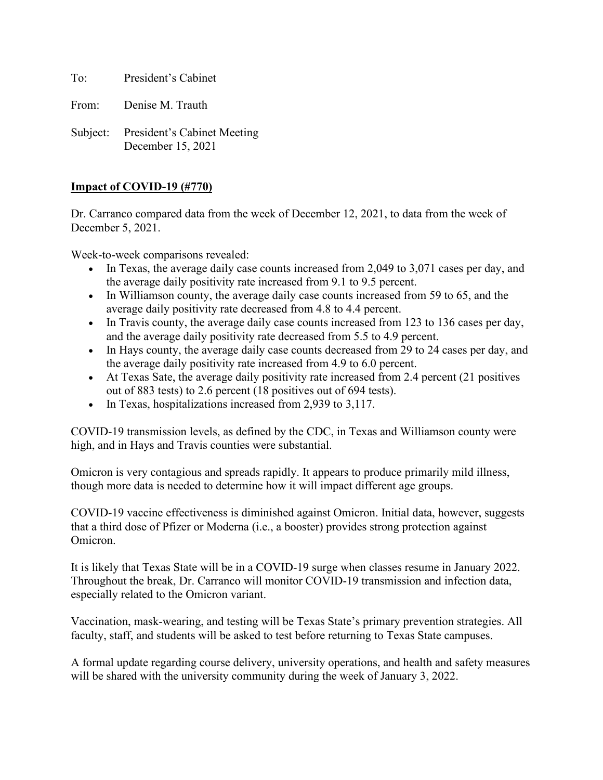To: President's Cabinet

From: Denise M. Trauth

Subject: President's Cabinet Meeting December 15, 2021

## **Impact of COVID-19 (#770)**

Dr. Carranco compared data from the week of December 12, 2021, to data from the week of December 5, 2021.

Week-to-week comparisons revealed:

- In Texas, the average daily case counts increased from 2,049 to 3,071 cases per day, and the average daily positivity rate increased from 9.1 to 9.5 percent.
- In Williamson county, the average daily case counts increased from 59 to 65, and the average daily positivity rate decreased from 4.8 to 4.4 percent.
- In Travis county, the average daily case counts increased from 123 to 136 cases per day, and the average daily positivity rate decreased from 5.5 to 4.9 percent.
- In Hays county, the average daily case counts decreased from 29 to 24 cases per day, and the average daily positivity rate increased from 4.9 to 6.0 percent.
- At Texas Sate, the average daily positivity rate increased from 2.4 percent (21 positives out of 883 tests) to 2.6 percent (18 positives out of 694 tests).
- In Texas, hospitalizations increased from 2,939 to 3,117.

COVID-19 transmission levels, as defined by the CDC, in Texas and Williamson county were high, and in Hays and Travis counties were substantial.

Omicron is very contagious and spreads rapidly. It appears to produce primarily mild illness, though more data is needed to determine how it will impact different age groups.

COVID-19 vaccine effectiveness is diminished against Omicron. Initial data, however, suggests that a third dose of Pfizer or Moderna (i.e., a booster) provides strong protection against Omicron.

It is likely that Texas State will be in a COVID-19 surge when classes resume in January 2022. Throughout the break, Dr. Carranco will monitor COVID-19 transmission and infection data, especially related to the Omicron variant.

Vaccination, mask-wearing, and testing will be Texas State's primary prevention strategies. All faculty, staff, and students will be asked to test before returning to Texas State campuses.

A formal update regarding course delivery, university operations, and health and safety measures will be shared with the university community during the week of January 3, 2022.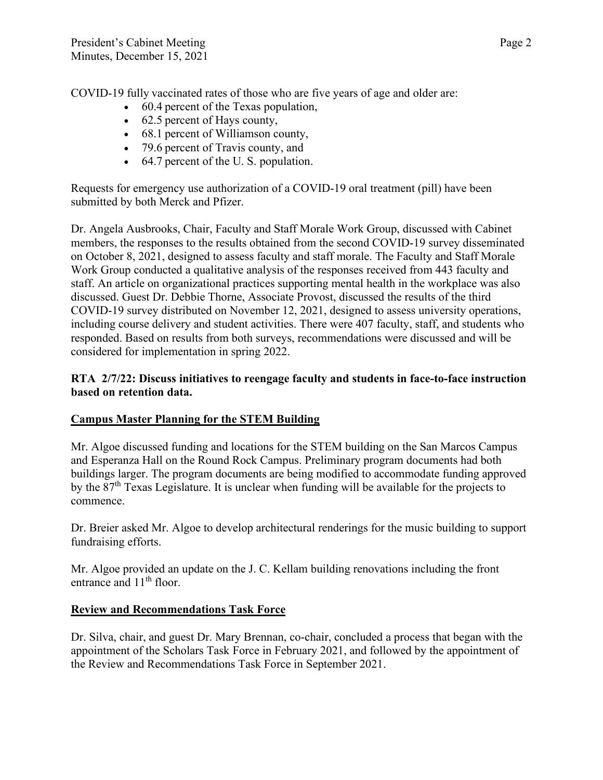COVID-19 fully vaccinated rates of those who are five years of age and older are:   

- 60.4 percent of the Texas population,
- 62.5 percent of Hays county,
- 68.1 percent of Williamson county,
- 79.6 percent of Travis county, and
- 64.7 percent of the U. S. population.

Requests for emergency use authorization of a COVID-19 oral treatment (pill) have been submitted by both Merck and Pfizer.

Dr. Angela Ausbrooks, Chair, Faculty and Staff Morale Work Group, discussed with Cabinet members, the responses to the results obtained from the second COVID-19 survey disseminated on October 8, 2021, designed to assess faculty and staff morale. The Faculty and Staff Morale Work Group conducted a qualitative analysis of the responses received from 443 faculty and staff. An article on organizational practices supporting mental health in the workplace was also discussed. Guest Dr. Debbie Thorne, Associate Provost, discussed the results of the third COVID-19 survey distributed on November 12, 2021, designed to assess university operations, including course delivery and student activities. There were 407 faculty, staff, and students who responded. Based on results from both surveys, recommendations were discussed and will be considered for implementation in spring 2022.

## **RTA 2/7/22: Discuss initiatives to reengage faculty and students in face-to-face instruction based on retention data.**

# **Campus Master Planning for the STEM Building**

Mr. Algoe discussed funding and locations for the STEM building on the San Marcos Campus and Esperanza Hall on the Round Rock Campus. Preliminary program documents had both buildings larger. The program documents are being modified to accommodate funding approved by the 87<sup>th</sup> Texas Legislature. It is unclear when funding will be available for the projects to commence.

Dr. Breier asked Mr. Algoe to develop architectural renderings for the music building to support fundraising efforts.

Mr. Algoe provided an update on the J. C. Kellam building renovations including the front entrance and  $11<sup>th</sup>$  floor.

## **Review and Recommendations Task Force**

Dr. Silva, chair, and guest Dr. Mary Brennan, co-chair, concluded a process that began with the appointment of the Scholars Task Force in February 2021, and followed by the appointment of the Review and Recommendations Task Force in September 2021.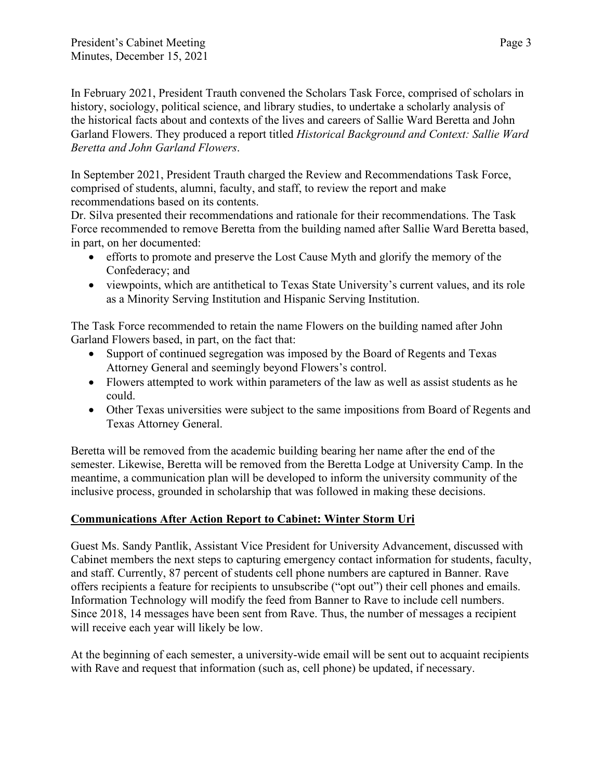In February 2021, President Trauth convened the Scholars Task Force, comprised of scholars in history, sociology, political science, and library studies, to undertake a scholarly analysis of the historical facts about and contexts of the lives and careers of Sallie Ward Beretta and John Garland Flowers. They produced a report titled *Historical Background and Context: Sallie Ward Beretta and John Garland Flowers*.

In September 2021, President Trauth charged the Review and Recommendations Task Force, comprised of students, alumni, faculty, and staff, to review the report and make recommendations based on its contents.

Dr. Silva presented their recommendations and rationale for their recommendations. The Task Force recommended to remove Beretta from the building named after Sallie Ward Beretta based, in part, on her documented:

- efforts to promote and preserve the Lost Cause Myth and glorify the memory of the Confederacy; and
- viewpoints, which are antithetical to Texas State University's current values, and its role as a Minority Serving Institution and Hispanic Serving Institution.

The Task Force recommended to retain the name Flowers on the building named after John Garland Flowers based, in part, on the fact that:

- Support of continued segregation was imposed by the Board of Regents and Texas Attorney General and seemingly beyond Flowers's control.
- Flowers attempted to work within parameters of the law as well as assist students as he could.
- Other Texas universities were subject to the same impositions from Board of Regents and Texas Attorney General.

Beretta will be removed from the academic building bearing her name after the end of the semester. Likewise, Beretta will be removed from the Beretta Lodge at University Camp. In the meantime, a communication plan will be developed to inform the university community of the inclusive process, grounded in scholarship that was followed in making these decisions.

# **Communications After Action Report to Cabinet: Winter Storm Uri**

Guest Ms. Sandy Pantlik, Assistant Vice President for University Advancement, discussed with Cabinet members the next steps to capturing emergency contact information for students, faculty, and staff. Currently, 87 percent of students cell phone numbers are captured in Banner. Rave offers recipients a feature for recipients to unsubscribe ("opt out") their cell phones and emails. Information Technology will modify the feed from Banner to Rave to include cell numbers. Since 2018, 14 messages have been sent from Rave. Thus, the number of messages a recipient will receive each year will likely be low.

At the beginning of each semester, a university-wide email will be sent out to acquaint recipients with Rave and request that information (such as, cell phone) be updated, if necessary.